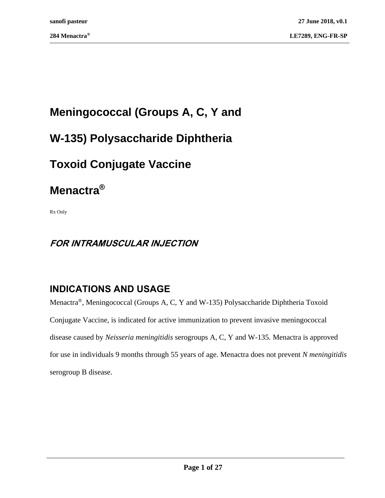# **Meningococcal (Groups A, C, Y and**

# **W-135) Polysaccharide Diphtheria**

# **Toxoid Conjugate Vaccine**

# **Menactra®**

Rx Only

# **FOR INTRAMUSCULAR INJECTION**

# **INDICATIONS AND USAGE**

Menactra®, Meningococcal (Groups A, C, Y and W-135) Polysaccharide Diphtheria Toxoid Conjugate Vaccine, is indicated for active immunization to prevent invasive meningococcal disease caused by *Neisseria meningitidis* serogroups A, C, Y and W-135. Menactra is approved for use in individuals 9 months through 55 years of age. Menactra does not prevent *N meningitidis* serogroup B disease.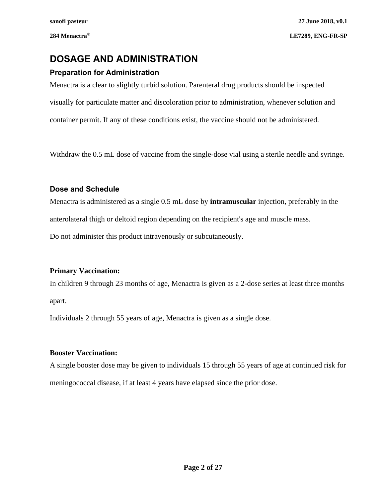# **DOSAGE AND ADMINISTRATION**

## **Preparation for Administration**

Menactra is a clear to slightly turbid solution. Parenteral drug products should be inspected visually for particulate matter and discoloration prior to administration, whenever solution and container permit. If any of these conditions exist, the vaccine should not be administered.

Withdraw the 0.5 mL dose of vaccine from the single-dose vial using a sterile needle and syringe.

### **Dose and Schedule**

Menactra is administered as a single 0.5 mL dose by **intramuscular** injection, preferably in the anterolateral thigh or deltoid region depending on the recipient's age and muscle mass. Do not administer this product intravenously or subcutaneously.

### **Primary Vaccination:**

In children 9 through 23 months of age, Menactra is given as a 2-dose series at least three months apart.

Individuals 2 through 55 years of age, Menactra is given as a single dose.

### **Booster Vaccination:**

A single booster dose may be given to individuals 15 through 55 years of age at continued risk for meningococcal disease, if at least 4 years have elapsed since the prior dose.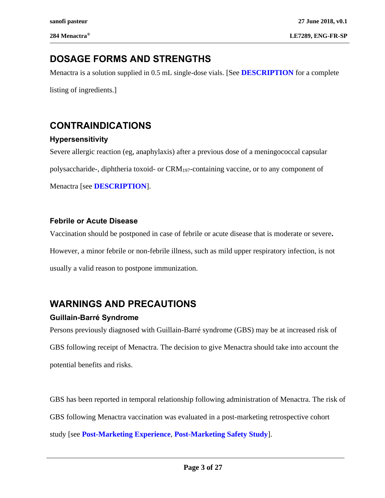# **DOSAGE FORMS AND STRENGTHS**

Menactra is a solution supplied in 0.5 mL single-dose vials. [See **[DESCRIPTION](#page-16-0)** for a complete

listing of ingredients.]

# **CONTRAINDICATIONS**

## **Hypersensitivity**

Severe allergic reaction (eg, anaphylaxis) after a previous dose of a meningococcal capsular polysaccharide-, diphtheria toxoid- or CRM197-containing vaccine, or to any component of Menactra [see **[DESCRIPTION](#page-16-0)**].

## **Febrile or Acute Disease**

Vaccination should be postponed in case of febrile or acute disease that is moderate or severe**.**  However, a minor febrile or non-febrile illness, such as mild upper respiratory infection, is not usually a valid reason to postpone immunization.

# <span id="page-2-0"></span>**WARNINGS AND PRECAUTIONS**

# **Guillain-Barré Syndrome**

Persons previously diagnosed with Guillain-Barré syndrome (GBS) may be at increased risk of GBS following receipt of Menactra. The decision to give Menactra should take into account the potential benefits and risks.

GBS has been reported in temporal relationship following administration of Menactra. The risk of GBS following Menactra vaccination was evaluated in a post-marketing retrospective cohort study [see **[Post-Marketing Experience](#page-11-0)**, **[Post-Marketing Safety Study](#page-12-0)**].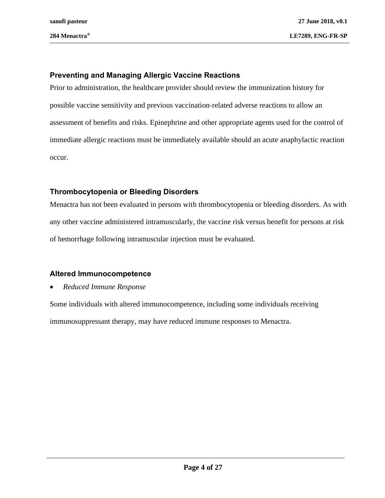## **Preventing and Managing Allergic Vaccine Reactions**

Prior to administration, the healthcare provider should review the immunization history for possible vaccine sensitivity and previous vaccination-related adverse reactions to allow an assessment of benefits and risks. Epinephrine and other appropriate agents used for the control of immediate allergic reactions must be immediately available should an acute anaphylactic reaction occur.

### **Thrombocytopenia or Bleeding Disorders**

Menactra has not been evaluated in persons with thrombocytopenia or bleeding disorders. As with any other vaccine administered intramuscularly, the vaccine risk versus benefit for persons at risk of hemorrhage following intramuscular injection must be evaluated.

### **Altered Immunocompetence**

### • *Reduced Immune Response*

Some individuals with altered immunocompetence, including some individuals receiving immunosuppressant therapy, may have reduced immune responses to Menactra.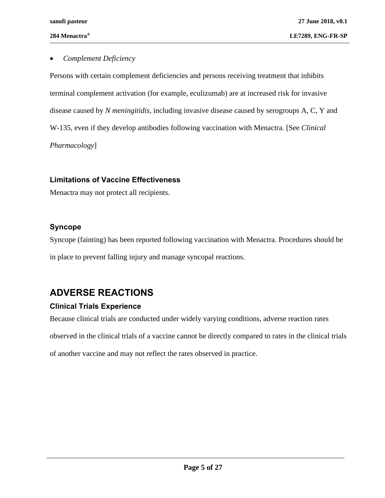### • *Complement Deficiency*

Persons with certain complement deficiencies and persons receiving treatment that inhibits terminal complement activation (for example, eculizumab) are at increased risk for invasive disease caused by *N meningitidis*, including invasive disease caused by serogroups A, C, Y and W-135, even if they develop antibodies following vaccination with Menactra. [See *Clinical Pharmacology*]

### **Limitations of Vaccine Effectiveness**

Menactra may not protect all recipients.

## **Syncope**

Syncope (fainting) has been reported following vaccination with Menactra. Procedures should be in place to prevent falling injury and manage syncopal reactions.

# <span id="page-4-1"></span>**ADVERSE REACTIONS**

## <span id="page-4-0"></span>**Clinical Trials Experience**

Because clinical trials are conducted under widely varying conditions, adverse reaction rates

observed in the clinical trials of a vaccine cannot be directly compared to rates in the clinical trials

of another vaccine and may not reflect the rates observed in practice.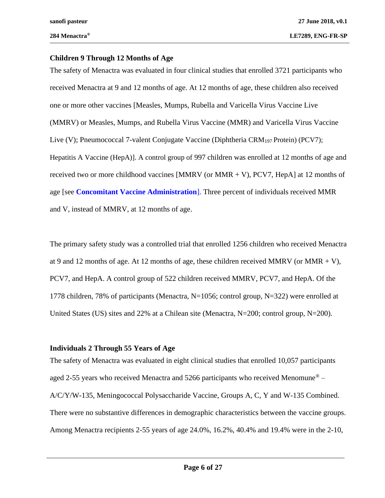#### **Children 9 Through 12 Months of Age**

The safety of Menactra was evaluated in four clinical studies that enrolled 3721 participants who received Menactra at 9 and 12 months of age. At 12 months of age, these children also received one or more other vaccines [Measles, Mumps, Rubella and Varicella Virus Vaccine Live (MMRV) or Measles, Mumps, and Rubella Virus Vaccine (MMR) and Varicella Virus Vaccine Live (V); Pneumococcal 7-valent Conjugate Vaccine (Diphtheria CRM<sup>197</sup> Protein) (PCV7); Hepatitis A Vaccine (HepA)]. A control group of 997 children was enrolled at 12 months of age and received two or more childhood vaccines [MMRV (or MMR  $+$  V), PCV7, HepA] at 12 months of age [see **[Concomitant Vaccine Administration](#page-23-0)**]. Three percent of individuals received MMR and V, instead of MMRV, at 12 months of age.

The primary safety study was a controlled trial that enrolled 1256 children who received Menactra at 9 and 12 months of age. At 12 months of age, these children received MMRV (or MMR  $+$  V), PCV7, and HepA. A control group of 522 children received MMRV, PCV7, and HepA. Of the 1778 children, 78% of participants (Menactra, N=1056; control group, N=322) were enrolled at United States (US) sites and 22% at a Chilean site (Menactra, N=200; control group, N=200).

### **Individuals 2 Through 55 Years of Age**

The safety of Menactra was evaluated in eight clinical studies that enrolled 10,057 participants aged 2-55 years who received Menactra and 5266 participants who received Menomune<sup>®</sup> – A/C/Y/W-135, Meningococcal Polysaccharide Vaccine, Groups A, C, Y and W-135 Combined. There were no substantive differences in demographic characteristics between the vaccine groups. Among Menactra recipients 2-55 years of age 24.0%, 16.2%, 40.4% and 19.4% were in the 2-10,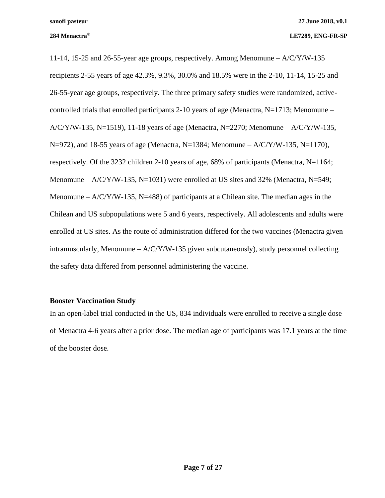11-14, 15-25 and 26-55-year age groups, respectively. Among Menomune – A/C/Y/W-135 recipients 2-55 years of age 42.3%, 9.3%, 30.0% and 18.5% were in the 2-10, 11-14, 15-25 and 26-55-year age groups, respectively. The three primary safety studies were randomized, activecontrolled trials that enrolled participants 2-10 years of age (Menactra,  $N=1713$ ; Menomune –  $A/C/Y/W-135$ , N=1519), 11-18 years of age (Menactra, N=2270; Menomune – A/C/Y/W-135,  $N=972$ ), and 18-55 years of age (Menactra, N=1384; Menomune – A/C/Y/W-135, N=1170), respectively. Of the 3232 children 2-10 years of age, 68% of participants (Menactra, N=1164; Menomune –  $A/C/Y/W-135$ , N=1031) were enrolled at US sites and 32% (Menactra, N=549; Menomune –  $A/C/Y/W-135$ , N=488) of participants at a Chilean site. The median ages in the Chilean and US subpopulations were 5 and 6 years, respectively. All adolescents and adults were enrolled at US sites. As the route of administration differed for the two vaccines (Menactra given intramuscularly, Menomune  $-A/C/Y/W-135$  given subcutaneously), study personnel collecting the safety data differed from personnel administering the vaccine.

#### <span id="page-6-0"></span>**Booster Vaccination Study**

In an open-label trial conducted in the US, 834 individuals were enrolled to receive a single dose of Menactra 4-6 years after a prior dose. The median age of participants was 17.1 years at the time of the booster dose.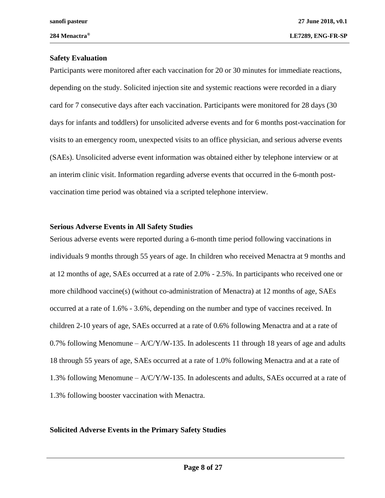#### **Safety Evaluation**

Participants were monitored after each vaccination for 20 or 30 minutes for immediate reactions, depending on the study. Solicited injection site and systemic reactions were recorded in a diary card for 7 consecutive days after each vaccination. Participants were monitored for 28 days (30 days for infants and toddlers) for unsolicited adverse events and for 6 months post-vaccination for visits to an emergency room, unexpected visits to an office physician, and serious adverse events (SAEs). Unsolicited adverse event information was obtained either by telephone interview or at an interim clinic visit. Information regarding adverse events that occurred in the 6-month postvaccination time period was obtained via a scripted telephone interview.

#### **Serious Adverse Events in All Safety Studies**

Serious adverse events were reported during a 6-month time period following vaccinations in individuals 9 months through 55 years of age. In children who received Menactra at 9 months and at 12 months of age, SAEs occurred at a rate of 2.0% - 2.5%. In participants who received one or more childhood vaccine(s) (without co-administration of Menactra) at 12 months of age, SAEs occurred at a rate of 1.6% - 3.6%, depending on the number and type of vaccines received. In children 2-10 years of age, SAEs occurred at a rate of 0.6% following Menactra and at a rate of 0.7% following Menomune  $- A/C/Y/W-135$ . In adolescents 11 through 18 years of age and adults 18 through 55 years of age, SAEs occurred at a rate of 1.0% following Menactra and at a rate of 1.3% following Menomune – A/C/Y/W-135. In adolescents and adults, SAEs occurred at a rate of 1.3% following booster vaccination with Menactra.

#### **Solicited Adverse Events in the Primary Safety Studies**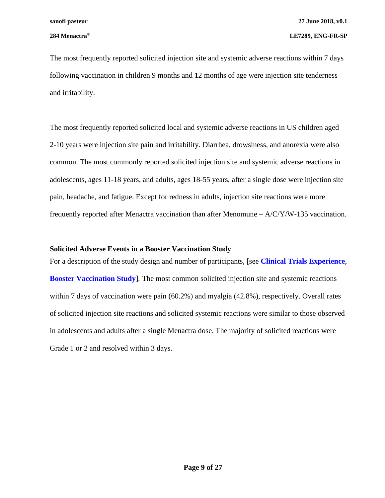The most frequently reported solicited injection site and systemic adverse reactions within 7 days following vaccination in children 9 months and 12 months of age were injection site tenderness and irritability.

The most frequently reported solicited local and systemic adverse reactions in US children aged 2-10 years were injection site pain and irritability. Diarrhea, drowsiness, and anorexia were also common. The most commonly reported solicited injection site and systemic adverse reactions in adolescents, ages 11-18 years, and adults, ages 18-55 years, after a single dose were injection site pain, headache, and fatigue. Except for redness in adults, injection site reactions were more frequently reported after Menactra vaccination than after Menomune  $- A/C/Y/W-135$  vaccination.

#### **Solicited Adverse Events in a Booster Vaccination Study**

For a description of the study design and number of participants, [see **[Clinical Trials Experience](#page-4-0)***,*  **[Booster Vaccination Study](#page-6-0)**]*.* The most common solicited injection site and systemic reactions within 7 days of vaccination were pain (60.2%) and myalgia (42.8%), respectively. Overall rates of solicited injection site reactions and solicited systemic reactions were similar to those observed in adolescents and adults after a single Menactra dose. The majority of solicited reactions were Grade 1 or 2 and resolved within 3 days.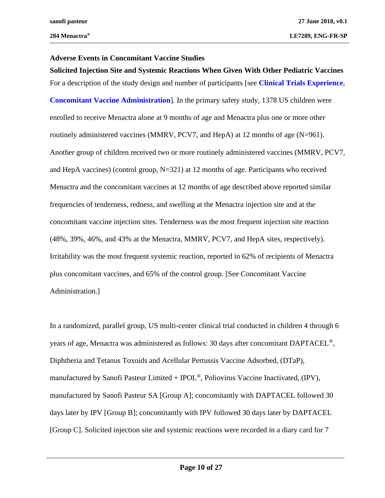#### **Adverse Events in Concomitant Vaccine Studies**

**Solicited Injection Site and Systemic Reactions When Given With Other Pediatric Vaccines**  For a description of the study design and number of participants [see **[Clinical Trials Experience](#page-4-0)***,* **[Concomitant Vaccine Administration](#page-23-0)**]*.* In the primary safety study, 1378 US children were enrolled to receive Menactra alone at 9 months of age and Menactra plus one or more other routinely administered vaccines (MMRV, PCV7, and HepA) at 12 months of age (N=961). Another group of children received two or more routinely administered vaccines (MMRV, PCV7, and HepA vaccines) (control group, N=321) at 12 months of age. Participants who received Menactra and the concomitant vaccines at 12 months of age described above reported similar frequencies of tenderness, redness, and swelling at the Menactra injection site and at the concomitant vaccine injection sites. Tenderness was the most frequent injection site reaction (48%, 39%, 46%, and 43% at the Menactra, MMRV, PCV7, and HepA sites, respectively). Irritability was the most frequent systemic reaction, reported in 62% of recipients of Menactra plus concomitant vaccines, and 65% of the control group. [See [Concomitant Vaccine](#page-23-0)  [Administration.](#page-23-0)]

In a randomized, parallel group, US multi-center clinical trial conducted in children 4 through 6 years of age, Menactra was administered as follows: 30 days after concomitant DAPTACEL®, Diphtheria and Tetanus Toxoids and Acellular Pertussis Vaccine Adsorbed, (DTaP), manufactured by Sanofi Pasteur Limited +  $\text{POL}^{\circledcirc}$ , Poliovirus Vaccine Inactivated, (IPV), manufactured by Sanofi Pasteur SA [Group A]; concomitantly with DAPTACEL followed 30 days later by IPV [Group B]; concomitantly with IPV followed 30 days later by DAPTACEL [Group C]. Solicited injection site and systemic reactions were recorded in a diary card for 7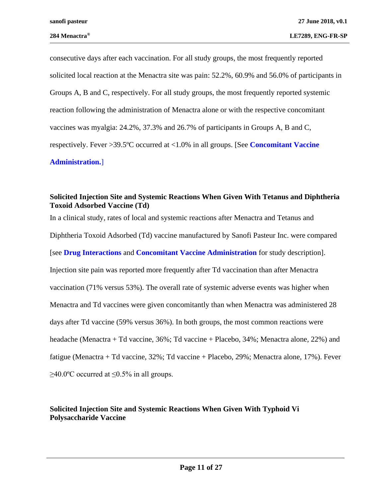consecutive days after each vaccination. For all study groups, the most frequently reported solicited local reaction at the Menactra site was pain: 52.2%, 60.9% and 56.0% of participants in Groups A, B and C, respectively. For all study groups, the most frequently reported systemic reaction following the administration of Menactra alone or with the respective concomitant vaccines was myalgia: 24.2%, 37.3% and 26.7% of participants in Groups A, B and C, respectively. Fever >39.5ºC occurred at <1.0% in all groups. [See **[Concomitant Vaccine](#page-23-0)  [Administration.](#page-23-0)**]

#### **Solicited Injection Site and Systemic Reactions When Given With Tetanus and Diphtheria Toxoid Adsorbed Vaccine (Td)**

In a clinical study, rates of local and systemic reactions after Menactra and Tetanus and Diphtheria Toxoid Adsorbed (Td) vaccine manufactured by Sanofi Pasteur Inc. were compared [see **[Drug Interactions](#page-13-0)** and **[Concomitant Vaccine Administration](#page-23-0)** for study description]. Injection site pain was reported more frequently after Td vaccination than after Menactra vaccination (71% versus 53%). The overall rate of systemic adverse events was higher when Menactra and Td vaccines were given concomitantly than when Menactra was administered 28 days after Td vaccine (59% versus 36%). In both groups, the most common reactions were headache (Menactra + Td vaccine, 36%; Td vaccine + Placebo, 34%; Menactra alone, 22%) and fatigue (Menactra + Td vaccine, 32%; Td vaccine + Placebo, 29%; Menactra alone, 17%). Fever  $\geq$ 40.0°C occurred at ≤0.5% in all groups.

### **Solicited Injection Site and Systemic Reactions When Given With Typhoid Vi Polysaccharide Vaccine**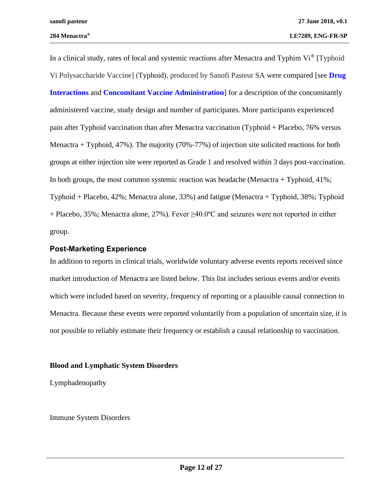In a clinical study, rates of local and systemic reactions after Menactra and Typhim  $Vi^{\circledast}$  [Typhoid Vi Polysaccharide Vaccine] (Typhoid), produced by Sanofi Pasteur SA were compared [see **[Drug](#page-13-0)  [Interactions](#page-13-0)** and **[Concomitant Vaccine Administration](#page-23-0)**] for a description of the concomitantly administered vaccine, study design and number of participants. More participants experienced pain after Typhoid vaccination than after Menactra vaccination (Typhoid + Placebo, 76% versus Menactra + Typhoid, 47%). The majority (70%-77%) of injection site solicited reactions for both groups at either injection site were reported as Grade 1 and resolved within 3 days post-vaccination. In both groups, the most common systemic reaction was headache (Menactra + Typhoid, 41%; Typhoid + Placebo, 42%; Menactra alone, 33%) and fatigue (Menactra + Typhoid, 38%; Typhoid  $+$  Placebo, 35%; Menactra alone, 27%). Fever  $\geq 40.0$ °C and seizures were not reported in either group.

#### <span id="page-11-0"></span>**Post-Marketing Experience**

In addition to reports in clinical trials, worldwide voluntary adverse events reports received since market introduction of Menactra are listed below. This list includes serious events and/or events which were included based on severity, frequency of reporting or a plausible causal connection to Menactra. Because these events were reported voluntarily from a population of uncertain size, it is not possible to reliably estimate their frequency or establish a causal relationship to vaccination.

### **Blood and Lymphatic System Disorders**

Lymphadenopathy

Immune System Disorders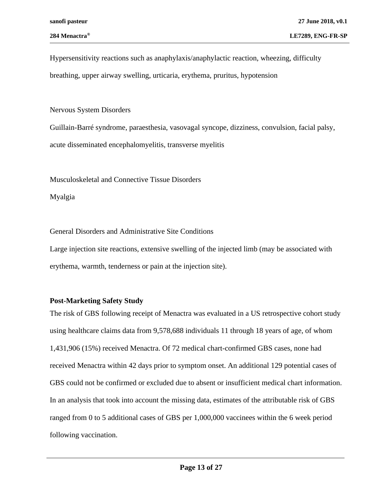Hypersensitivity reactions such as anaphylaxis/anaphylactic reaction, wheezing, difficulty breathing, upper airway swelling, urticaria, erythema, pruritus, hypotension

### Nervous System Disorders

Guillain-Barré syndrome, paraesthesia, vasovagal syncope, dizziness, convulsion, facial palsy, acute disseminated encephalomyelitis, transverse myelitis

Musculoskeletal and Connective Tissue Disorders

Myalgia

General Disorders and Administrative Site Conditions

Large injection site reactions, extensive swelling of the injected limb (may be associated with erythema, warmth, tenderness or pain at the injection site).

## <span id="page-12-0"></span>**Post-Marketing Safety Study**

The risk of GBS following receipt of Menactra was evaluated in a US retrospective cohort study using healthcare claims data from 9,578,688 individuals 11 through 18 years of age, of whom 1,431,906 (15%) received Menactra. Of 72 medical chart-confirmed GBS cases, none had received Menactra within 42 days prior to symptom onset. An additional 129 potential cases of GBS could not be confirmed or excluded due to absent or insufficient medical chart information. In an analysis that took into account the missing data, estimates of the attributable risk of GBS ranged from 0 to 5 additional cases of GBS per 1,000,000 vaccinees within the 6 week period following vaccination.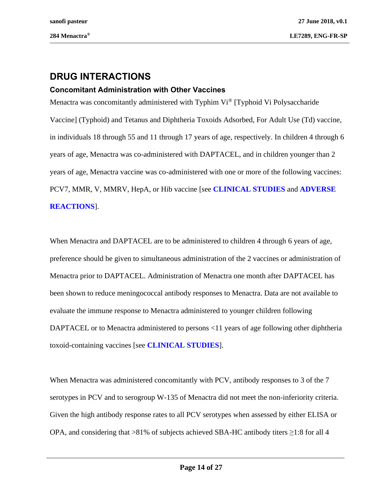# <span id="page-13-0"></span>**DRUG INTERACTIONS**

### **Concomitant Administration with Other Vaccines**

Menactra was concomitantly administered with Typhim Vi<sup>®</sup> [Typhoid Vi Polysaccharide Vaccine] (Typhoid) and Tetanus and Diphtheria Toxoids Adsorbed, For Adult Use (Td) vaccine, in individuals 18 through 55 and 11 through 17 years of age, respectively. In children 4 through 6 years of age, Menactra was co-administered with DAPTACEL, and in children younger than 2 years of age, Menactra vaccine was co-administered with one or more of the following vaccines: PCV7, MMR, V, MMRV, HepA, or Hib vaccine [see **[CLINICAL STUDIES](#page-18-0)** and **[ADVERSE](#page-4-1)  [REACTIONS](#page-4-1)**].

When Menactra and DAPTACEL are to be administered to children 4 through 6 years of age, preference should be given to simultaneous administration of the 2 vaccines or administration of Menactra prior to DAPTACEL. Administration of Menactra one month after DAPTACEL has been shown to reduce meningococcal antibody responses to Menactra. Data are not available to evaluate the immune response to Menactra administered to younger children following DAPTACEL or to Menactra administered to persons <11 years of age following other diphtheria toxoid-containing vaccines [see **[CLINICAL STUDIES](#page-18-0)**].

When Menactra was administered concomitantly with PCV, antibody responses to 3 of the 7 serotypes in PCV and to serogroup W-135 of Menactra did not meet the non-inferiority criteria. Given the high antibody response rates to all PCV serotypes when assessed by either ELISA or OPA, and considering that >81% of subjects achieved SBA-HC antibody titers ≥1:8 for all 4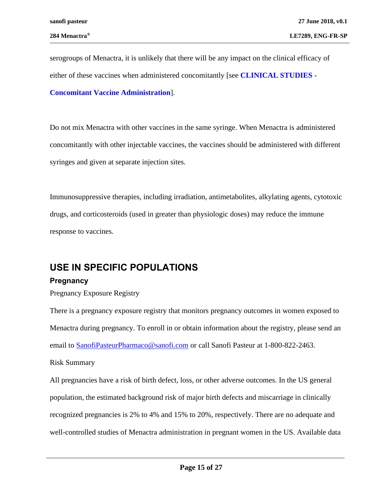serogroups of Menactra, it is unlikely that there will be any impact on the clinical efficacy of either of these vaccines when administered concomitantly [see **[CLINICAL STUDIES](#page-18-0)** - **[Concomitant Vaccine Administration](#page-23-0)**].

Do not mix Menactra with other vaccines in the same syringe. When Menactra is administered concomitantly with other injectable vaccines, the vaccines should be administered with different syringes and given at separate injection sites.

Immunosuppressive therapies, including irradiation, antimetabolites, alkylating agents, cytotoxic drugs, and corticosteroids (used in greater than physiologic doses) may reduce the immune response to vaccines.

# **USE IN SPECIFIC POPULATIONS**

### <span id="page-14-0"></span>**Pregnancy**

Pregnancy Exposure Registry

There is a pregnancy exposure registry that monitors pregnancy outcomes in women exposed to Menactra during pregnancy. To enroll in or obtain information about the registry, please send an email to **SanofiPasteurPharmaco**@sanofi.com or call Sanofi Pasteur at 1-800-822-2463. Risk Summary

All pregnancies have a risk of birth defect, loss, or other adverse outcomes. In the US general population, the estimated background risk of major birth defects and miscarriage in clinically recognized pregnancies is 2% to 4% and 15% to 20%, respectively. There are no adequate and well-controlled studies of Menactra administration in pregnant women in the US. Available data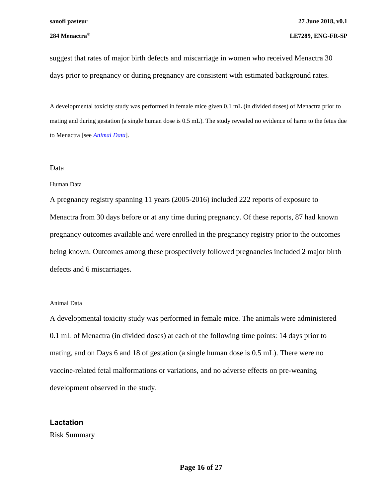suggest that rates of major birth defects and miscarriage in women who received Menactra 30 days prior to pregnancy or during pregnancy are consistent with estimated background rates.

A developmental toxicity study was performed in female mice given 0.1 mL (in divided doses) of Menactra prior to mating and during gestation (a single human dose is 0.5 mL). The study revealed no evidence of harm to the fetus due to Menactra [see *Animal Data*].

#### Data

#### Human Data

A pregnancy registry spanning 11 years (2005-2016) included 222 reports of exposure to Menactra from 30 days before or at any time during pregnancy. Of these reports, 87 had known pregnancy outcomes available and were enrolled in the pregnancy registry prior to the outcomes being known. Outcomes among these prospectively followed pregnancies included 2 major birth defects and 6 miscarriages.

#### Animal Data

A developmental toxicity study was performed in female mice. The animals were administered 0.1 mL of Menactra (in divided doses) at each of the following time points: 14 days prior to mating, and on Days 6 and 18 of gestation (a single human dose is 0.5 mL). There were no vaccine-related fetal malformations or variations, and no adverse effects on pre-weaning development observed in the study.

### **Lactation**

Risk Summary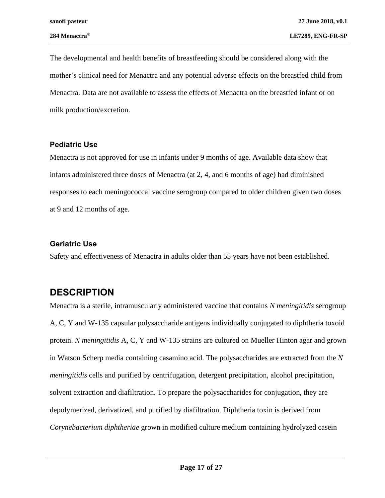The developmental and health benefits of breastfeeding should be considered along with the mother's clinical need for Menactra and any potential adverse effects on the breastfed child from Menactra. Data are not available to assess the effects of Menactra on the breastfed infant or on milk production/excretion.

### **Pediatric Use**

Menactra is not approved for use in infants under 9 months of age. Available data show that infants administered three doses of Menactra (at 2, 4, and 6 months of age) had diminished responses to each meningococcal vaccine serogroup compared to older children given two doses at 9 and 12 months of age.

### **Geriatric Use**

Safety and effectiveness of Menactra in adults older than 55 years have not been established.

# <span id="page-16-0"></span>**DESCRIPTION**

Menactra is a sterile, intramuscularly administered vaccine that contains *N meningitidis* serogroup A, C, Y and W-135 capsular polysaccharide antigens individually conjugated to diphtheria toxoid protein. *N meningitidis* A, C, Y and W-135 strains are cultured on Mueller Hinton agar and grown in Watson Scherp media containing casamino acid. The polysaccharides are extracted from the *N meningitidis* cells and purified by centrifugation, detergent precipitation, alcohol precipitation, solvent extraction and diafiltration. To prepare the polysaccharides for conjugation, they are depolymerized, derivatized, and purified by diafiltration. Diphtheria toxin is derived from *Corynebacterium diphtheriae* grown in modified culture medium containing hydrolyzed casein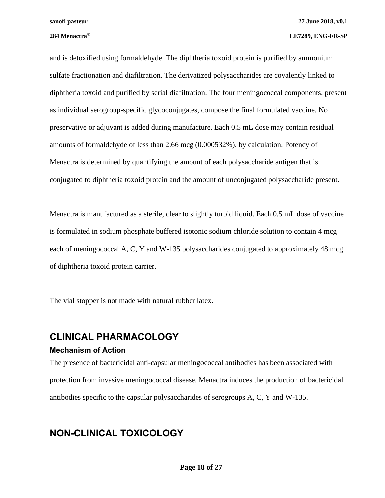and is detoxified using formaldehyde. The diphtheria toxoid protein is purified by ammonium sulfate fractionation and diafiltration. The derivatized polysaccharides are covalently linked to diphtheria toxoid and purified by serial diafiltration. The four meningococcal components, present as individual serogroup-specific glycoconjugates, compose the final formulated vaccine. No preservative or adjuvant is added during manufacture. Each 0.5 mL dose may contain residual amounts of formaldehyde of less than 2.66 mcg (0.000532%), by calculation. Potency of Menactra is determined by quantifying the amount of each polysaccharide antigen that is conjugated to diphtheria toxoid protein and the amount of unconjugated polysaccharide present.

Menactra is manufactured as a sterile, clear to slightly turbid liquid. Each 0.5 mL dose of vaccine is formulated in sodium phosphate buffered isotonic sodium chloride solution to contain 4 mcg each of meningococcal A, C, Y and W-135 polysaccharides conjugated to approximately 48 mcg of diphtheria toxoid protein carrier.

The vial stopper is not made with natural rubber latex.

# **CLINICAL PHARMACOLOGY**

### **Mechanism of Action**

The presence of bactericidal anti-capsular meningococcal antibodies has been associated with protection from invasive meningococcal disease. Menactra induces the production of bactericidal antibodies specific to the capsular polysaccharides of serogroups A, C, Y and W-135.

# **NON-CLINICAL TOXICOLOGY**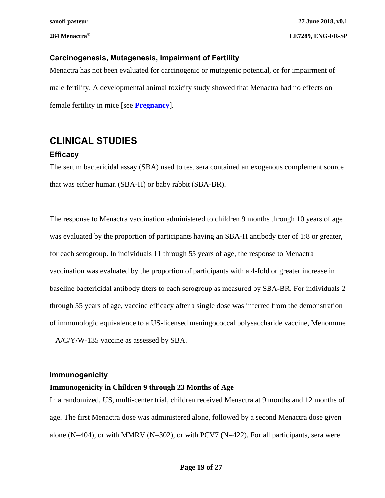### **Carcinogenesis, Mutagenesis, Impairment of Fertility**

Menactra has not been evaluated for carcinogenic or mutagenic potential, or for impairment of male fertility. A developmental animal toxicity study showed that Menactra had no effects on female fertility in mice [see **[Pregnancy](#page-14-0)**]*.*

# <span id="page-18-0"></span>**CLINICAL STUDIES**

### **Efficacy**

The serum bactericidal assay (SBA) used to test sera contained an exogenous complement source that was either human (SBA-H) or baby rabbit (SBA-BR).

The response to Menactra vaccination administered to children 9 months through 10 years of age was evaluated by the proportion of participants having an SBA-H antibody titer of 1:8 or greater, for each serogroup. In individuals 11 through 55 years of age, the response to Menactra vaccination was evaluated by the proportion of participants with a 4-fold or greater increase in baseline bactericidal antibody titers to each serogroup as measured by SBA-BR. For individuals 2 through 55 years of age, vaccine efficacy after a single dose was inferred from the demonstration of immunologic equivalence to a US-licensed meningococcal polysaccharide vaccine, Menomune – A/C/Y/W-135 vaccine as assessed by SBA.

### **Immunogenicity**

### **Immunogenicity in Children 9 through 23 Months of Age**

In a randomized, US, multi-center trial, children received Menactra at 9 months and 12 months of age. The first Menactra dose was administered alone, followed by a second Menactra dose given alone (N=404), or with MMRV (N=302), or with PCV7 (N=422). For all participants, sera were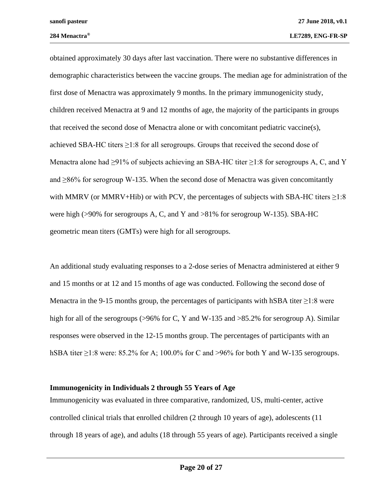obtained approximately 30 days after last vaccination. There were no substantive differences in demographic characteristics between the vaccine groups. The median age for administration of the first dose of Menactra was approximately 9 months. In the primary immunogenicity study, children received Menactra at 9 and 12 months of age, the majority of the participants in groups that received the second dose of Menactra alone or with concomitant pediatric vaccine(s), achieved SBA-HC titers ≥1:8 for all serogroups. Groups that received the second dose of Menactra alone had  $\geq 91\%$  of subjects achieving an SBA-HC titer  $\geq 1:8$  for serogroups A, C, and Y and  $\geq$ 86% for serogroup W-135. When the second dose of Menactra was given concomitantly with MMRV (or MMRV+Hib) or with PCV, the percentages of subjects with SBA-HC titers  $\geq$ 1:8 were high ( $>90\%$  for serogroups A, C, and Y and  $>81\%$  for serogroup W-135). SBA-HC geometric mean titers (GMTs) were high for all serogroups.

An additional study evaluating responses to a 2-dose series of Menactra administered at either 9 and 15 months or at 12 and 15 months of age was conducted. Following the second dose of Menactra in the 9-15 months group, the percentages of participants with hSBA titer  $\geq$ 1:8 were high for all of the serogroups (>96% for C, Y and W-135 and >85.2% for serogroup A). Similar responses were observed in the 12-15 months group. The percentages of participants with an hSBA titer  $\geq$ 1:8 were: 85.2% for A; 100.0% for C and  $\geq$ 96% for both Y and W-135 serogroups.

#### **Immunogenicity in Individuals 2 through 55 Years of Age**

Immunogenicity was evaluated in three comparative, randomized, US, multi-center, active controlled clinical trials that enrolled children (2 through 10 years of age), adolescents (11 through 18 years of age), and adults (18 through 55 years of age). Participants received a single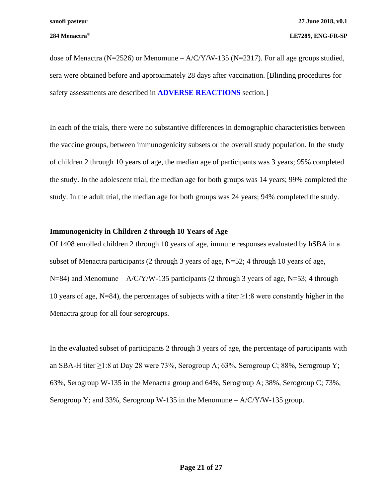dose of Menactra (N=2526) or Menomune –  $A/C/Y/W-135$  (N=2317). For all age groups studied, sera were obtained before and approximately 28 days after vaccination. [Blinding procedures for safety assessments are described in **[ADVERSE REACTIONS](#page-4-1)** section.]

In each of the trials, there were no substantive differences in demographic characteristics between the vaccine groups, between immunogenicity subsets or the overall study population. In the study of children 2 through 10 years of age, the median age of participants was 3 years; 95% completed the study. In the adolescent trial, the median age for both groups was 14 years; 99% completed the study. In the adult trial, the median age for both groups was 24 years; 94% completed the study.

### **Immunogenicity in Children 2 through 10 Years of Age**

Of 1408 enrolled children 2 through 10 years of age, immune responses evaluated by hSBA in a subset of Menactra participants (2 through 3 years of age, N=52; 4 through 10 years of age, N=84) and Menomune –  $A/C/Y/W-135$  participants (2 through 3 years of age, N=53; 4 through 10 years of age, N=84), the percentages of subjects with a titer  $\geq$ 1:8 were constantly higher in the Menactra group for all four serogroups.

In the evaluated subset of participants 2 through 3 years of age, the percentage of participants with an SBA-H titer  $\geq$ 1:8 at Day 28 were 73%, Serogroup A; 63%, Serogroup C; 88%, Serogroup Y; 63%, Serogroup W-135 in the Menactra group and 64%, Serogroup A; 38%, Serogroup C; 73%, Serogroup Y; and 33%, Serogroup W-135 in the Menomune  $-A/C/Y/W-135$  group.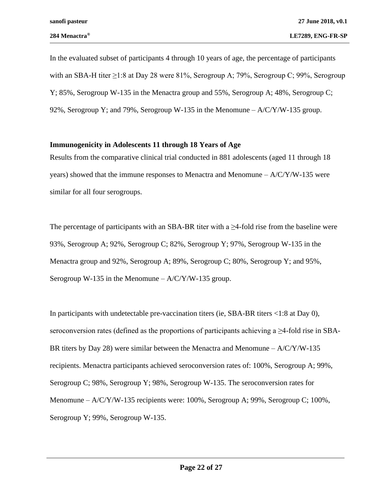In the evaluated subset of participants 4 through 10 years of age, the percentage of participants with an SBA-H titer  $\geq$ 1:8 at Day 28 were 81%, Serogroup A; 79%, Serogroup C; 99%, Serogroup Y; 85%, Serogroup W-135 in the Menactra group and 55%, Serogroup A; 48%, Serogroup C; 92%, Serogroup Y; and 79%, Serogroup W-135 in the Menomune  $- A/C/Y/W-135$  group.

#### **Immunogenicity in Adolescents 11 through 18 Years of Age**

Results from the comparative clinical trial conducted in 881 adolescents (aged 11 through 18 years) showed that the immune responses to Menactra and Menomune  $- A/C/Y/W-135$  were similar for all four serogroups.

The percentage of participants with an SBA-BR titer with a  $\geq$ 4-fold rise from the baseline were 93%, Serogroup A; 92%, Serogroup C; 82%, Serogroup Y; 97%, Serogroup W-135 in the Menactra group and 92%, Serogroup A; 89%, Serogroup C; 80%, Serogroup Y; and 95%, Serogroup W-135 in the Menomune  $- A/C/Y/W-135$  group.

In participants with undetectable pre-vaccination titers (ie, SBA-BR titers <1:8 at Day 0), seroconversion rates (defined as the proportions of participants achieving a  $\geq$ 4-fold rise in SBA-BR titers by Day 28) were similar between the Menactra and Menomune  $- A/C/Y/W-135$ recipients. Menactra participants achieved seroconversion rates of: 100%, Serogroup A; 99%, Serogroup C; 98%, Serogroup Y; 98%, Serogroup W-135. The seroconversion rates for Menomune –  $A/C/Y/W-135$  recipients were: 100%, Serogroup A; 99%, Serogroup C; 100%, Serogroup Y; 99%, Serogroup W-135.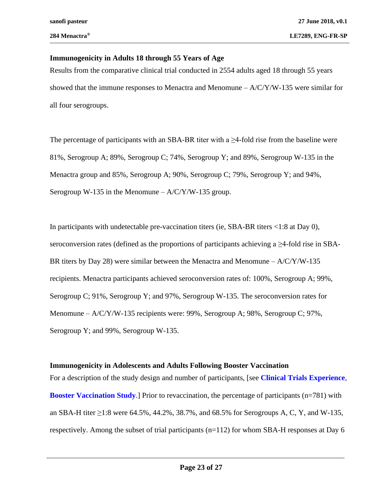#### **Immunogenicity in Adults 18 through 55 Years of Age**

Results from the comparative clinical trial conducted in 2554 adults aged 18 through 55 years showed that the immune responses to Menactra and Menomune  $- A/C/Y/W-135$  were similar for all four serogroups.

The percentage of participants with an SBA-BR titer with a  $\geq$ 4-fold rise from the baseline were 81%, Serogroup A; 89%, Serogroup C; 74%, Serogroup Y; and 89%, Serogroup W-135 in the Menactra group and 85%, Serogroup A; 90%, Serogroup C; 79%, Serogroup Y; and 94%, Serogroup W-135 in the Menomune  $- A/C/Y/W-135$  group.

In participants with undetectable pre-vaccination titers (ie, SBA-BR titers <1:8 at Day 0), seroconversion rates (defined as the proportions of participants achieving a  $\geq$ 4-fold rise in SBA-BR titers by Day 28) were similar between the Menactra and Menomune  $- A/C/Y/W-135$ recipients. Menactra participants achieved seroconversion rates of: 100%, Serogroup A; 99%, Serogroup C; 91%, Serogroup Y; and 97%, Serogroup W-135. The seroconversion rates for Menomune – A/C/Y/W-135 recipients were: 99%, Serogroup A; 98%, Serogroup C; 97%, Serogroup Y; and 99%, Serogroup W-135.

### **Immunogenicity in Adolescents and Adults Following Booster Vaccination**

For a description of the study design and number of participants, [see **[Clinical Trials Experience](#page-4-0)***,*  **[Booster Vaccination Study](#page-6-0)**.] Prior to revaccination, the percentage of participants (n=781) with an SBA-H titer  $\geq$ 1:8 were 64.5%, 44.2%, 38.7%, and 68.5% for Serogroups A, C, Y, and W-135, respectively. Among the subset of trial participants (n=112) for whom SBA-H responses at Day 6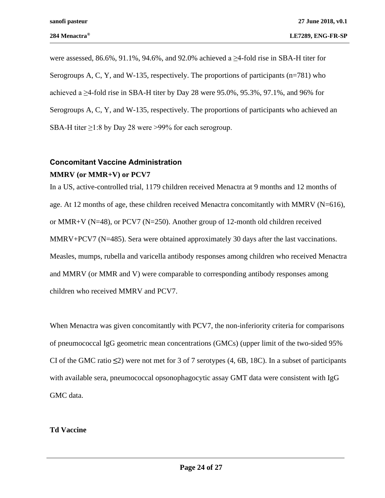were assessed, 86.6%, 91.1%, 94.6%, and 92.0% achieved a  $\geq$ 4-fold rise in SBA-H titer for Serogroups A, C, Y, and W-135, respectively. The proportions of participants (n=781) who achieved a  $\geq$ 4-fold rise in SBA-H titer by Day 28 were 95.0%, 95.3%, 97.1%, and 96% for Serogroups A, C, Y, and W-135, respectively. The proportions of participants who achieved an SBA-H titer ≥1:8 by Day 28 were >99% for each serogroup.

# <span id="page-23-0"></span>**Concomitant Vaccine Administration MMRV (or MMR+V) or PCV7**

In a US, active-controlled trial, 1179 children received Menactra at 9 months and 12 months of age. At 12 months of age, these children received Menactra concomitantly with MMRV ( $N=616$ ), or MMR+V (N=48), or PCV7 (N=250). Another group of 12-month old children received MMRV+PCV7 (N=485). Sera were obtained approximately 30 days after the last vaccinations. Measles, mumps, rubella and varicella antibody responses among children who received Menactra and MMRV (or MMR and V) were comparable to corresponding antibody responses among children who received MMRV and PCV7.

When Menactra was given concomitantly with PCV7, the non-inferiority criteria for comparisons of pneumococcal IgG geometric mean concentrations (GMCs) (upper limit of the two-sided 95% CI of the GMC ratio **≤**2) were not met for 3 of 7 serotypes (4, 6B, 18C). In a subset of participants with available sera, pneumococcal opsonophagocytic assay GMT data were consistent with IgG GMC data.

#### **Td Vaccine**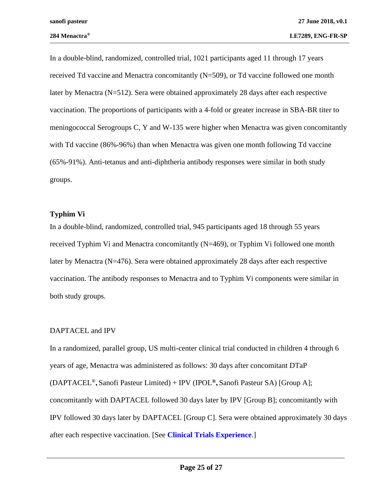In a double-blind, randomized, controlled trial, 1021 participants aged 11 through 17 years received Td vaccine and Menactra concomitantly (N=509), or Td vaccine followed one month later by Menactra (N=512). Sera were obtained approximately 28 days after each respective vaccination. The proportions of participants with a 4-fold or greater increase in SBA-BR titer to meningococcal Serogroups C, Y and W-135 were higher when Menactra was given concomitantly with Td vaccine (86%-96%) than when Menactra was given one month following Td vaccine (65%-91%). Anti-tetanus and anti-diphtheria antibody responses were similar in both study groups.

#### **Typhim Vi**

In a double-blind, randomized, controlled trial, 945 participants aged 18 through 55 years received Typhim Vi and Menactra concomitantly (N=469), or Typhim Vi followed one month later by Menactra (N=476). Sera were obtained approximately 28 days after each respective vaccination. The antibody responses to Menactra and to Typhim Vi components were similar in both study groups.

### DAPTACEL and IPV

In a randomized, parallel group, US multi-center clinical trial conducted in children 4 through 6 years of age, Menactra was administered as follows: 30 days after concomitant DTaP (DAPTACEL®**,** Sanofi Pasteur Limited) + IPV (IPOL**®,** Sanofi Pasteur SA) [Group A]; concomitantly with DAPTACEL followed 30 days later by IPV [Group B]; concomitantly with IPV followed 30 days later by DAPTACEL [Group C]. Sera were obtained approximately 30 days after each respective vaccination. [See **[Clinical Trials Experience](#page-4-0)**.]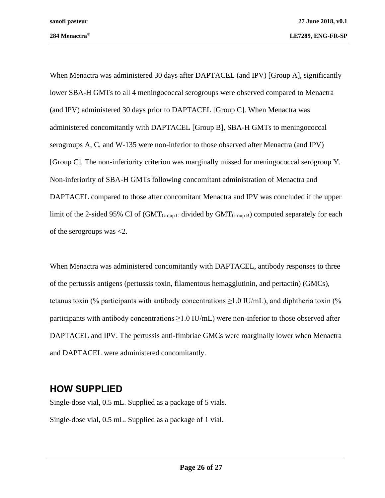When Menactra was administered 30 days after DAPTACEL (and IPV) [Group A], significantly lower SBA-H GMTs to all 4 meningococcal serogroups were observed compared to Menactra (and IPV) administered 30 days prior to DAPTACEL [Group C]. When Menactra was administered concomitantly with DAPTACEL [Group B], SBA-H GMTs to meningococcal serogroups A, C, and W-135 were non-inferior to those observed after Menactra (and IPV) [Group C]. The non-inferiority criterion was marginally missed for meningococcal serogroup Y. Non-inferiority of SBA-H GMTs following concomitant administration of Menactra and DAPTACEL compared to those after concomitant Menactra and IPV was concluded if the upper limit of the 2-sided 95% CI of  $(GMT_{Group} \text{ }c \text{ }divided \text{ }by \text{ } GMT_{Group} \text{ }B)$  computed separately for each of the serogroups was <2.

When Menactra was administered concomitantly with DAPTACEL, antibody responses to three of the pertussis antigens (pertussis toxin, filamentous hemagglutinin, and pertactin) (GMCs), tetanus toxin (% participants with antibody concentrations  $\geq 1.0$  IU/mL), and diphtheria toxin (% participants with antibody concentrations  $\geq 1.0$  IU/mL) were non-inferior to those observed after DAPTACEL and IPV. The pertussis anti-fimbriae GMCs were marginally lower when Menactra and DAPTACEL were administered concomitantly.

# **HOW SUPPLIED**

Single-dose vial, 0.5 mL. Supplied as a package of 5 vials. Single-dose vial, 0.5 mL. Supplied as a package of 1 vial.